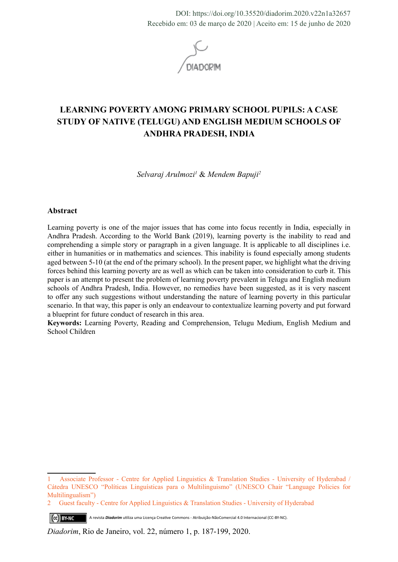DOI: https://doi.org/10.35520/diadorim.2020.v22n1a32657 Recebido em: 03 de março de 2020 | Aceito em: 15 de junho de 2020



# **LEARNING POVERTY AMONG PRIMARY SCHOOL PUPILS: A CASE STUDY OF NATIVE (TELUGU) AND ENGLISH MEDIUM SCHOOLS OF ANDHRA PRADESH, INDIA**

*Selvaraj Arulmozi1* & *Mendem Bapuji2*

#### **Abstract**

Learning poverty is one of the major issues that has come into focus recently in India, especially in Andhra Pradesh. According to the World Bank (2019), learning poverty is the inability to read and comprehending a simple story or paragraph in a given language. It is applicable to all disciplines i.e. either in humanities or in mathematics and sciences. This inability is found especially among students aged between 5-10 (at the end of the primary school). In the present paper, we highlight what the driving forces behind this learning poverty are as well as which can be taken into consideration to curb it. This paper is an attempt to present the problem of learning poverty prevalent in Telugu and English medium schools of Andhra Pradesh, India. However, no remedies have been suggested, as it is very nascent to offer any such suggestions without understanding the nature of learning poverty in this particular scenario. In that way, this paper is only an endeavour to contextualize learning poverty and put forward a blueprint for future conduct of research in this area.

**Keywords:** Learning Poverty, Reading and Comprehension, Telugu Medium, English Medium and School Children

<sup>1</sup> Associate Professor - Centre for Applied Linguistics & Translation Studies - University of Hyderabad / Cátedra UNESCO "Políticas Linguísticas para o Multilinguismo" (UNESCO Chair "Language Policies for Multilingualism")

<sup>2</sup> Guest faculty - Centre for Applied Linguistics & Translation Studies - University of Hyderabad

A revista *Diadorim* utiliza uma Licença Creative Commons - Atribuição-NãoComercial 4.0 Internacional (CC-BY-NC). (ce) BY-NC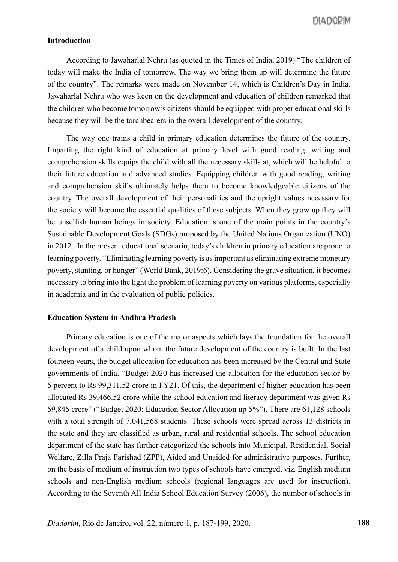## **Introduction**

According to Jawaharlal Nehru (as quoted in the Times of India, 2019) "The children of today will make the India of tomorrow. The way we bring them up will determine the future of the country". The remarks were made on November 14, which is Children's Day in India. Jawaharlal Nehru who was keen on the development and education of children remarked that the children who become tomorrow's citizens should be equipped with proper educational skills because they will be the torchbearers in the overall development of the country.

The way one trains a child in primary education determines the future of the country. Imparting the right kind of education at primary level with good reading, writing and comprehension skills equips the child with all the necessary skills at, which will be helpful to their future education and advanced studies. Equipping children with good reading, writing and comprehension skills ultimately helps them to become knowledgeable citizens of the country. The overall development of their personalities and the upright values necessary for the society will become the essential qualities of these subjects. When they grow up they will be unselfish human beings in society. Education is one of the main points in the country's Sustainable Development Goals (SDGs) proposed by the United Nations Organization (UNO) in 2012. In the present educational scenario, today's children in primary education are prone to learning poverty. "Eliminating learning poverty is as important as eliminating extreme monetary poverty, stunting, or hunger" (World Bank, 2019:6). Considering the grave situation, it becomes necessary to bring into the light the problem of learning poverty on various platforms, especially in academia and in the evaluation of public policies.

#### **Education System in Andhra Pradesh**

Primary education is one of the major aspects which lays the foundation for the overall development of a child upon whom the future development of the country is built. In the last fourteen years, the budget allocation for education has been increased by the Central and State governments of India. "Budget 2020 has increased the allocation for the education sector by 5 percent to Rs 99,311.52 crore in FY21. Of this, the department of higher education has been allocated Rs 39,466.52 crore while the school education and literacy department was given Rs 59,845 crore" ("Budget 2020: Education Sector Allocation up 5%"). There are 61,128 schools with a total strength of 7,041,568 students. These schools were spread across 13 districts in the state and they are classified as urban, rural and residential schools. The school education department of the state has further categorized the schools into Municipal, Residential, Social Welfare, Zilla Praja Parishad (ZPP), Aided and Unaided for administrative purposes. Further, on the basis of medium of instruction two types of schools have emerged, viz. English medium schools and non-English medium schools (regional languages are used for instruction). According to the Seventh All India School Education Survey (2006), the number of schools in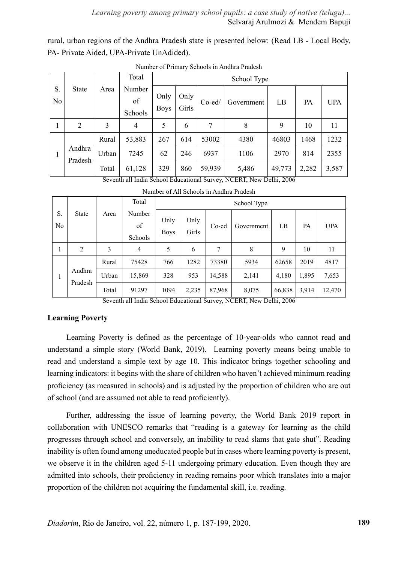rural, urban regions of the Andhra Pradesh state is presented below: (Read LB - Local Body, PA- Private Aided, UPA-Private UnAdided).

|          |                   |       | Total                   |                     | School Type   |           |            |        |           |            |  |
|----------|-------------------|-------|-------------------------|---------------------|---------------|-----------|------------|--------|-----------|------------|--|
| S.<br>No | <b>State</b>      | Area  | Number<br>of<br>Schools | Only<br><b>Boys</b> | Only<br>Girls | $Co$ -ed/ | Government | LB     | <b>PA</b> | <b>UPA</b> |  |
| 1        | $\overline{2}$    | 3     | 4                       | 5                   | 6             | 7         | 8          | 9      | 10        | 11         |  |
|          |                   | Rural | 53,883                  | 267                 | 614           | 53002     | 4380       | 46803  | 1468      | 1232       |  |
| 1        | Andhra<br>Pradesh | Urban | 7245                    | 62                  | 246           | 6937      | 1106       | 2970   | 814       | 2355       |  |
|          |                   | Total | 61,128                  | 329                 | 860           | 59,939    | 5,486      | 49,773 | 2,282     | 3,587      |  |

Number of Primary Schools in Andhra Pradesh

Seventh all India School Educational Survey, NCERT, New Delhi, 2006

|                      |                   |       | Total                   |                     |               |        | School Type |        |       |            |
|----------------------|-------------------|-------|-------------------------|---------------------|---------------|--------|-------------|--------|-------|------------|
| S.<br>N <sub>0</sub> | <b>State</b>      | Area  | Number<br>of<br>Schools | Only<br><b>Boys</b> | Only<br>Girls | Co-ed  | Government  | LB     | PA    | <b>UPA</b> |
| 1                    | 2                 | 3     | $\overline{4}$          | 5                   | 6             | 7      | 8           | 9      | 10    | 11         |
|                      |                   | Rural | 75428                   | 766                 | 1282          | 73380  | 5934        | 62658  | 2019  | 4817       |
| -                    | Andhra<br>Pradesh | Urban | 15,869                  | 328                 | 953           | 14,588 | 2,141       | 4,180  | 1,895 | 7,653      |
|                      |                   | Total | 91297                   | 1094                | 2,235         | 87,968 | 8,075       | 66,838 | 3,914 | 12,470     |

Number of All Schools in Andhra Pradesh

Seventh all India School Educational Survey, NCERT, New Delhi, 2006

#### **Learning Poverty**

Learning Poverty is defined as the percentage of 10-year-olds who cannot read and understand a simple story (World Bank, 2019). Learning poverty means being unable to read and understand a simple text by age 10. This indicator brings together schooling and learning indicators: it begins with the share of children who haven't achieved minimum reading proficiency (as measured in schools) and is adjusted by the proportion of children who are out of school (and are assumed not able to read proficiently).

Further, addressing the issue of learning poverty, the World Bank 2019 report in collaboration with UNESCO remarks that "reading is a gateway for learning as the child progresses through school and conversely, an inability to read slams that gate shut". Reading inability is often found among uneducated people but in cases where learning poverty is present, we observe it in the children aged 5-11 undergoing primary education. Even though they are admitted into schools, their proficiency in reading remains poor which translates into a major proportion of the children not acquiring the fundamental skill, i.e. reading.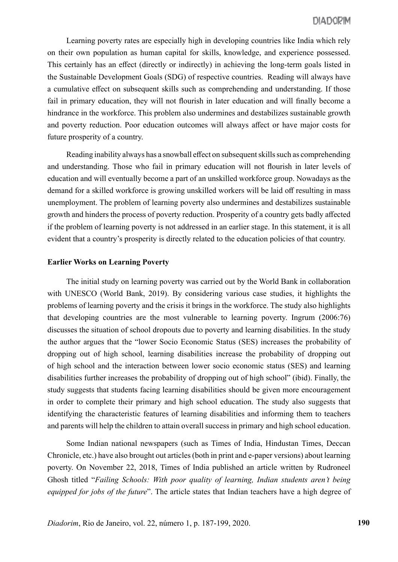Learning poverty rates are especially high in developing countries like India which rely on their own population as human capital for skills, knowledge, and experience possessed. This certainly has an effect (directly or indirectly) in achieving the long-term goals listed in the Sustainable Development Goals (SDG) of respective countries. Reading will always have a cumulative effect on subsequent skills such as comprehending and understanding. If those fail in primary education, they will not flourish in later education and will finally become a hindrance in the workforce. This problem also undermines and destabilizes sustainable growth and poverty reduction. Poor education outcomes will always affect or have major costs for future prosperity of a country.

Reading inability always has a snowball effect on subsequent skills such as comprehending and understanding. Those who fail in primary education will not flourish in later levels of education and will eventually become a part of an unskilled workforce group. Nowadays as the demand for a skilled workforce is growing unskilled workers will be laid off resulting in mass unemployment. The problem of learning poverty also undermines and destabilizes sustainable growth and hinders the process of poverty reduction. Prosperity of a country gets badly affected if the problem of learning poverty is not addressed in an earlier stage. In this statement, it is all evident that a country's prosperity is directly related to the education policies of that country.

#### **Earlier Works on Learning Poverty**

The initial study on learning poverty was carried out by the World Bank in collaboration with UNESCO (World Bank, 2019). By considering various case studies, it highlights the problems of learning poverty and the crisis it brings in the workforce. The study also highlights that developing countries are the most vulnerable to learning poverty. Ingrum (2006:76) discusses the situation of school dropouts due to poverty and learning disabilities. In the study the author argues that the "lower Socio Economic Status (SES) increases the probability of dropping out of high school, learning disabilities increase the probability of dropping out of high school and the interaction between lower socio economic status (SES) and learning disabilities further increases the probability of dropping out of high school" (ibid). Finally, the study suggests that students facing learning disabilities should be given more encouragement in order to complete their primary and high school education. The study also suggests that identifying the characteristic features of learning disabilities and informing them to teachers and parents will help the children to attain overall success in primary and high school education.

Some Indian national newspapers (such as Times of India, Hindustan Times, Deccan Chronicle, etc.) have also brought out articles (both in print and e-paper versions) about learning poverty. On November 22, 2018, Times of India published an article written by Rudroneel Ghosh titled "*Failing Schools: With poor quality of learning, Indian students aren't being equipped for jobs of the future*". The article states that Indian teachers have a high degree of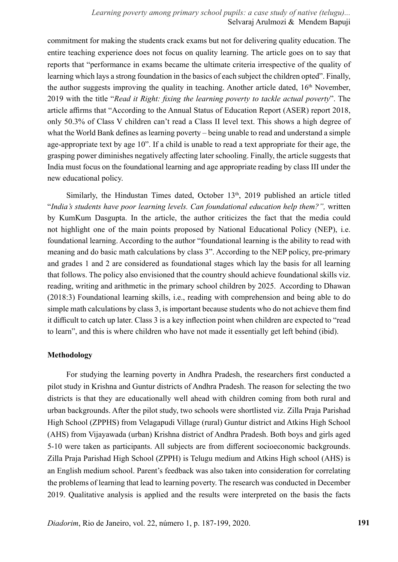*Learning poverty among primary school pupils: a case study of native (telugu)...* Selvaraj Arulmozi & Mendem Bapuji

commitment for making the students crack exams but not for delivering quality education. The entire teaching experience does not focus on quality learning. The article goes on to say that reports that "performance in exams became the ultimate criteria irrespective of the quality of learning which lays a strong foundation in the basics of each subject the children opted". Finally, the author suggests improving the quality in teaching. Another article dated,  $16<sup>th</sup>$  November, 2019 with the title "*Read it Right: fixing the learning poverty to tackle actual poverty*". The article affirms that "According to the Annual Status of Education Report (ASER) report 2018, only 50.3% of Class V children can't read a Class II level text. This shows a high degree of what the World Bank defines as learning poverty – being unable to read and understand a simple age-appropriate text by age 10". If a child is unable to read a text appropriate for their age, the grasping power diminishes negatively affecting later schooling. Finally, the article suggests that India must focus on the foundational learning and age appropriate reading by class III under the new educational policy.

Similarly, the Hindustan Times dated, October  $13<sup>th</sup>$ , 2019 published an article titled "*India's students have poor learning levels. Can foundational education help them?",* written by KumKum Dasgupta. In the article, the author criticizes the fact that the media could not highlight one of the main points proposed by National Educational Policy (NEP), i.e. foundational learning. According to the author "foundational learning is the ability to read with meaning and do basic math calculations by class 3". According to the NEP policy, pre-primary and grades 1 and 2 are considered as foundational stages which lay the basis for all learning that follows. The policy also envisioned that the country should achieve foundational skills viz. reading, writing and arithmetic in the primary school children by 2025. According to Dhawan (2018:3) Foundational learning skills, i.e., reading with comprehension and being able to do simple math calculations by class 3, is important because students who do not achieve them find it difficult to catch up later. Class 3 is a key inflection point when children are expected to "read to learn", and this is where children who have not made it essentially get left behind (ibid).

### **Methodology**

For studying the learning poverty in Andhra Pradesh, the researchers first conducted a pilot study in Krishna and Guntur districts of Andhra Pradesh. The reason for selecting the two districts is that they are educationally well ahead with children coming from both rural and urban backgrounds. After the pilot study, two schools were shortlisted viz. Zilla Praja Parishad High School (ZPPHS) from Velagapudi Village (rural) Guntur district and Atkins High School (AHS) from Vijayawada (urban) Krishna district of Andhra Pradesh. Both boys and girls aged 5-10 were taken as participants. All subjects are from different socioeconomic backgrounds. Zilla Praja Parishad High School (ZPPH) is Telugu medium and Atkins High school (AHS) is an English medium school. Parent's feedback was also taken into consideration for correlating the problems of learning that lead to learning poverty. The research was conducted in December 2019. Qualitative analysis is applied and the results were interpreted on the basis the facts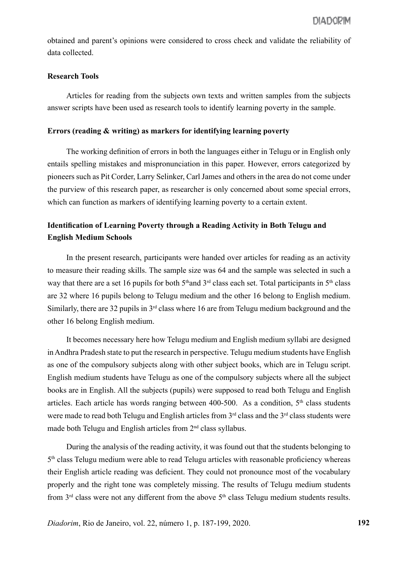obtained and parent's opinions were considered to cross check and validate the reliability of data collected.

#### **Research Tools**

Articles for reading from the subjects own texts and written samples from the subjects answer scripts have been used as research tools to identify learning poverty in the sample.

## **Errors (reading & writing) as markers for identifying learning poverty**

The working definition of errors in both the languages either in Telugu or in English only entails spelling mistakes and mispronunciation in this paper. However, errors categorized by pioneers such as Pit Corder, Larry Selinker, Carl James and others in the area do not come under the purview of this research paper, as researcher is only concerned about some special errors, which can function as markers of identifying learning poverty to a certain extent.

## **Identification of Learning Poverty through a Reading Activity in Both Telugu and English Medium Schools**

In the present research, participants were handed over articles for reading as an activity to measure their reading skills. The sample size was 64 and the sample was selected in such a way that there are a set 16 pupils for both  $5<sup>th</sup>$  and  $3<sup>rd</sup>$  class each set. Total participants in  $5<sup>th</sup>$  class are 32 where 16 pupils belong to Telugu medium and the other 16 belong to English medium. Similarly, there are 32 pupils in  $3<sup>rd</sup>$  class where 16 are from Telugu medium background and the other 16 belong English medium.

It becomes necessary here how Telugu medium and English medium syllabi are designed in Andhra Pradesh state to put the research in perspective. Telugu medium students have English as one of the compulsory subjects along with other subject books, which are in Telugu script. English medium students have Telugu as one of the compulsory subjects where all the subject books are in English. All the subjects (pupils) were supposed to read both Telugu and English articles. Each article has words ranging between 400-500. As a condition,  $5<sup>th</sup>$  class students were made to read both Telugu and English articles from  $3<sup>rd</sup>$  class and the  $3<sup>rd</sup>$  class students were made both Telugu and English articles from 2nd class syllabus.

During the analysis of the reading activity, it was found out that the students belonging to 5th class Telugu medium were able to read Telugu articles with reasonable proficiency whereas their English article reading was deficient. They could not pronounce most of the vocabulary properly and the right tone was completely missing. The results of Telugu medium students from  $3<sup>rd</sup>$  class were not any different from the above  $5<sup>th</sup>$  class Telugu medium students results.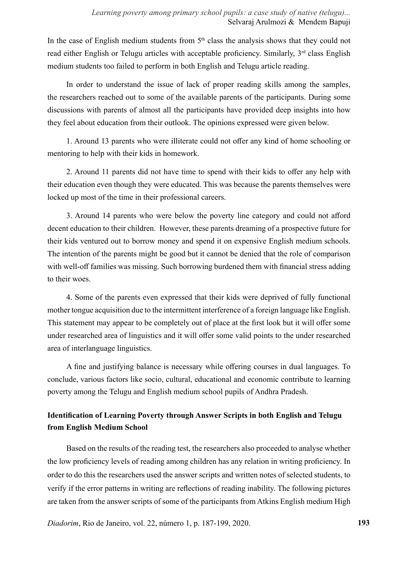In the case of English medium students from  $5<sup>th</sup>$  class the analysis shows that they could not read either English or Telugu articles with acceptable proficiency. Similarly, 3<sup>rd</sup> class English medium students too failed to perform in both English and Telugu article reading.

In order to understand the issue of lack of proper reading skills among the samples, the researchers reached out to some of the available parents of the participants. During some discussions with parents of almost all the participants have provided deep insights into how they feel about education from their outlook. The opinions expressed were given below.

1. Around 13 parents who were illiterate could not offer any kind of home schooling or mentoring to help with their kids in homework.

2. Around 11 parents did not have time to spend with their kids to offer any help with their education even though they were educated. This was because the parents themselves were locked up most of the time in their professional careers.

3. Around 14 parents who were below the poverty line category and could not afford decent education to their children. However, these parents dreaming of a prospective future for their kids ventured out to borrow money and spend it on expensive English medium schools. The intention of the parents might be good but it cannot be denied that the role of comparison with well-off families was missing. Such borrowing burdened them with financial stress adding to their woes.

4. Some of the parents even expressed that their kids were deprived of fully functional mother tongue acquisition due to the intermittent interference of a foreign language like English. This statement may appear to be completely out of place at the first look but it will offer some under researched area of linguistics and it will offer some valid points to the under researched area of interlanguage linguistics.

A fine and justifying balance is necessary while offering courses in dual languages. To conclude, various factors like socio, cultural, educational and economic contribute to learning poverty among the Telugu and English medium school pupils of Andhra Pradesh.

## **Identification of Learning Poverty through Answer Scripts in both English and Telugu from English Medium School**

Based on the results of the reading test, the researchers also proceeded to analyse whether the low proficiency levels of reading among children has any relation in writing proficiency. In order to do this the researchers used the answer scripts and written notes of selected students, to verify if the error patterns in writing are reflections of reading inability. The following pictures are taken from the answer scripts of some of the participants from Atkins English medium High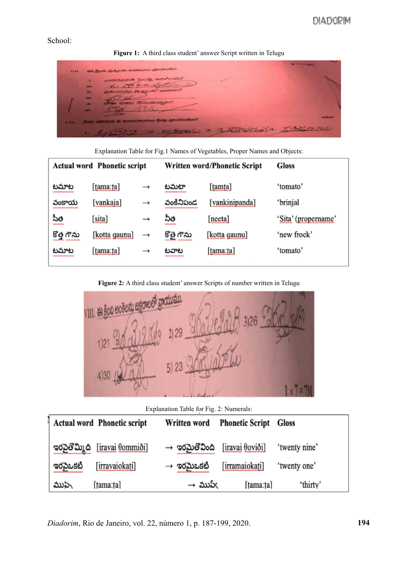### School:

**Figure 1:** A third class student' answer Script written in Telugu

| WHE.         | the flood and entire statement production                                                                                                                         | <b>CALL TO AN INCOME.</b> |
|--------------|-------------------------------------------------------------------------------------------------------------------------------------------------------------------|---------------------------|
|              | Toonbook and accompany<br><b>Tale</b><br>6. 000 600 april 200<br><b>PERS</b><br>திலைவில் அழைக் கைவி?<br>50<br>m.<br><mark>ಿಣ ಸಿಸು ವಿಸುರುಬ್ಬರು?</mark><br>23.<br>m |                           |
| <b>SALES</b> | Such advance up to concern the substitution and<br>12 correct 3 2133500 1 500000                                                                                  | <b>UNICATION</b>          |

Explanation Table for Fig.1 Names of Vegetables, Proper Names and Objects:

|            | <b>Actual word Phonetic script</b> |               |             | Written word/Phonetic Script | <b>Gloss</b>        |
|------------|------------------------------------|---------------|-------------|------------------------------|---------------------|
| టమాట       | $[{\text{tama:}}$ ta]              | $\rightarrow$ | టమటా        | [tamta]                      | 'tomato'            |
| వంకాయ      | [vankaja]                          | $\rightarrow$ | వంకినిపండ   | [vankinipanda]               | 'brinjal            |
| సీత        | [sita]                             | $\rightarrow$ | నీత         | [neeta]                      | 'Sita' (propername' |
| కొత్త గౌను | [kotta gaunu]                      | $\rightarrow$ | కొత్రె గౌను | [kotta qaunu]                | 'new frock'         |
| టమాట       | [tama:ta]                          | $\rightarrow$ | టవాట        | [tama:ta]                    | 'tomato'            |
|            |                                    |               |             |                              |                     |

**Figure 2:** A third class student' answer Scripts of number written in Telugu



Explanation Table for Fig. 2: Numerals:

|          | <b>Actual word Phonetic script</b> | Written word              | <b>Phonetic Script Gloss</b> |               |
|----------|------------------------------------|---------------------------|------------------------------|---------------|
|          | ಇරටුමීඩා බ [iravai θommiði]        | $\rightarrow$ ఇరమైతోవింది | [iravai θoviði]              | 'twenty nine' |
| ఇరవైఒకటి | [irravaiokati]                     | $\rightarrow$ ಇರಮಿಒకటి    | [irramaiokati]               | 'twenty one'  |
| ముపె     | [tama:ta]                          | $\rightarrow$ ముప్ $\in$  | [tama:ta]                    | 'thirty'      |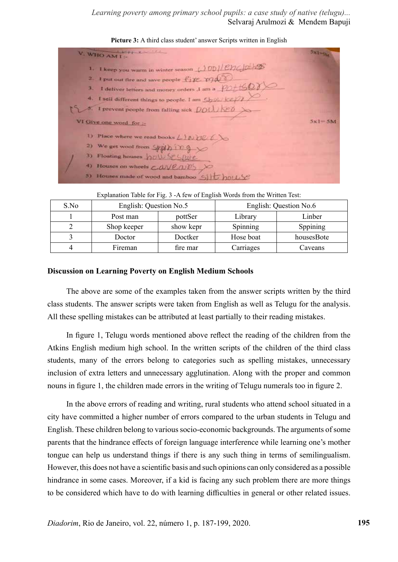*Learning poverty among primary school pupils: a case study of native (telugu)...* Selvaraj Arulmozi & Mendem Bapuji

|    | and property of the local contract of the local contract of the local contract of the local contract of the local contract of the local contract of the local contract of the local contract of the local contract of the loca<br>V. WHO AM I- | $5x1-x$    |
|----|------------------------------------------------------------------------------------------------------------------------------------------------------------------------------------------------------------------------------------------------|------------|
|    | 1. 1 keep you warm in winter season (100) Enclose                                                                                                                                                                                              |            |
|    | 2. I put out fire and save people fixe may                                                                                                                                                                                                     |            |
| З. | I deliver letters and money orders J am a $PO+CO$                                                                                                                                                                                              |            |
|    | 4. I sell different things to people. I am Show Kell 1                                                                                                                                                                                         |            |
|    | 5. I prevent people from falling sick $DOL \times D$                                                                                                                                                                                           |            |
|    | VI Give one word for :-                                                                                                                                                                                                                        | $5x1 - 5M$ |
|    | 1) Place where we read books $\angle$ 1 to $\angle$ 6 $\angle$                                                                                                                                                                                 |            |
|    | 2) We get wool from $\frac{1}{2}$                                                                                                                                                                                                              |            |
|    | 3) Floating houses now St Spote                                                                                                                                                                                                                |            |
|    | 4) Houses on wheels COVEODS X                                                                                                                                                                                                                  |            |
|    | 5) Houses made of wood and bamboo SIL                                                                                                                                                                                                          |            |
|    |                                                                                                                                                                                                                                                |            |

#### Picture 3: A third class student' answer Scripts written in English

Explanation Table for Fig. 3 -A few of English Words from the Written Test:

| S.No | English: Question No.5 |           | English: Question No.6 |            |  |
|------|------------------------|-----------|------------------------|------------|--|
|      | Post man               | pottSer   | Library                | Linber     |  |
|      | Shop keeper            | show kepr | Spinning               | Sppining   |  |
|      | Doctor                 | Doctker   | Hose boat              | housesBote |  |
|      | Fireman                | fire mar  | Carriages              | Caveans    |  |

#### **Discussion on Learning Poverty on English Medium Schools**

The above are some of the examples taken from the answer scripts written by the third class students. The answer scripts were taken from English as well as Telugu for the analysis. All these spelling mistakes can be attributed at least partially to their reading mistakes.

In figure 1, Telugu words mentioned above reflect the reading of the children from the Atkins English medium high school. In the written scripts of the children of the third class students, many of the errors belong to categories such as spelling mistakes, unnecessary inclusion of extra letters and unnecessary agglutination. Along with the proper and common nouns in figure 1, the children made errors in the writing of Telugu numerals too in figure 2.

In the above errors of reading and writing, rural students who attend school situated in a city have committed a higher number of errors compared to the urban students in Telugu and English. These children belong to various socio-economic backgrounds. The arguments of some parents that the hindrance effects of foreign language interference while learning one's mother tongue can help us understand things if there is any such thing in terms of semilingualism. However, this does not have a scientific basis and such opinions can only considered as a possible hindrance in some cases. Moreover, if a kid is facing any such problem there are more things to be considered which have to do with learning difficulties in general or other related issues.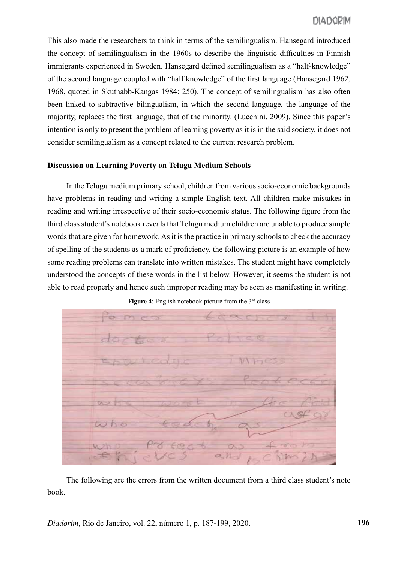This also made the researchers to think in terms of the semilingualism. Hansegard introduced the concept of semilingualism in the 1960s to describe the linguistic difficulties in Finnish immigrants experienced in Sweden. Hansegard defined semilingualism as a "half-knowledge" of the second language coupled with "half knowledge" of the first language (Hansegard 1962, 1968, quoted in Skutnabb-Kangas 1984: 250). The concept of semilingualism has also often been linked to subtractive bilingualism, in which the second language, the language of the majority, replaces the first language, that of the minority. (Lucchini, 2009). Since this paper's intention is only to present the problem of learning poverty as it is in the said society, it does not consider semilingualism as a concept related to the current research problem.

## **Discussion on Learning Poverty on Telugu Medium Schools**

In the Telugu medium primary school, children from various socio-economic backgrounds have problems in reading and writing a simple English text. All children make mistakes in reading and writing irrespective of their socio-economic status. The following figure from the third class student's notebook reveals that Telugu medium children are unable to produce simple words that are given for homework. As it is the practice in primary schools to check the accuracy of spelling of the students as a mark of proficiency, the following picture is an example of how some reading problems can translate into written mistakes. The student might have completely understood the concepts of these words in the list below. However, it seems the student is not able to read properly and hence such improper reading may be seen as manifesting in writing.



**Figure 4**: English notebook picture from the 3<sup>rd</sup> class

The following are the errors from the written document from a third class student's note book.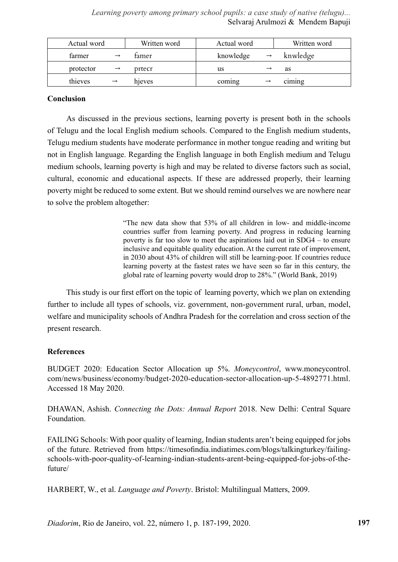*Learning poverty among primary school pupils: a case study of native (telugu)...* Selvaraj Arulmozi & Mendem Bapuji

| Actual word |               | Written word | Actual word |               | Written word  |
|-------------|---------------|--------------|-------------|---------------|---------------|
| farmer      | $\rightarrow$ | famer        | knowledge   | $\rightarrow$ | knwledge      |
| protector   | $\rightarrow$ | prtecr       | us          |               | as            |
| thieves     | $\rightarrow$ | hjeves       | coming      |               | $c_1$ m $n$ g |

## **Conclusion**

As discussed in the previous sections, learning poverty is present both in the schools of Telugu and the local English medium schools. Compared to the English medium students, Telugu medium students have moderate performance in mother tongue reading and writing but not in English language. Regarding the English language in both English medium and Telugu medium schools, learning poverty is high and may be related to diverse factors such as social, cultural, economic and educational aspects. If these are addressed properly, their learning poverty might be reduced to some extent. But we should remind ourselves we are nowhere near to solve the problem altogether:

> "The new data show that 53% of all children in low- and middle-income countries suffer from learning poverty. And progress in reducing learning poverty is far too slow to meet the aspirations laid out in SDG4 – to ensure inclusive and equitable quality education. At the current rate of improvement, in 2030 about 43% of children will still be learning-poor. If countries reduce learning poverty at the fastest rates we have seen so far in this century, the global rate of learning poverty would drop to 28%." (World Bank, 2019)

This study is our first effort on the topic of learning poverty, which we plan on extending further to include all types of schools, viz. government, non-government rural, urban, model, welfare and municipality schools of Andhra Pradesh for the correlation and cross section of the present research.

#### **References**

BUDGET 2020: Education Sector Allocation up 5%. *Moneycontrol*, www.moneycontrol. com/news/business/economy/budget-2020-education-sector-allocation-up-5-4892771.html. Accessed 18 May 2020.

DHAWAN, Ashish. *Connecting the Dots: Annual Report* 2018. New Delhi: Central Square Foundation.

FAILING Schools: With poor quality of learning, Indian students aren't being equipped for jobs of the future. Retrieved from https://timesofindia.indiatimes.com/blogs/talkingturkey/failingschools-with-poor-quality-of-learning-indian-students-arent-being-equipped-for-jobs-of-thefuture/

HARBERT, W., et al. *Language and Poverty*. Bristol: Multilingual Matters, 2009.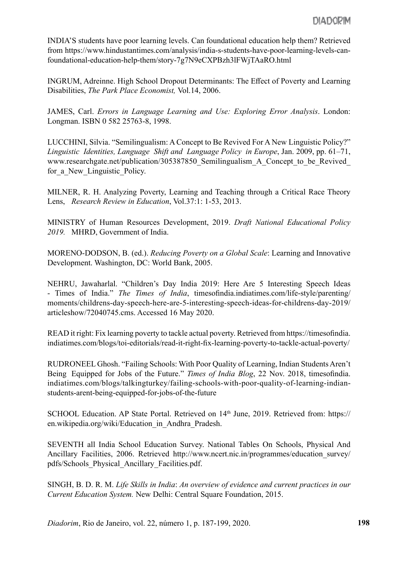INDIA'S students have poor learning levels. Can foundational education help them? Retrieved from https://www.hindustantimes.com/analysis/india-s-students-have-poor-learning-levels-canfoundational-education-help-them/story-7g7N9eCXPBzh3lFWjTAaRO.html

INGRUM, Adreinne. High School Dropout Determinants: The Effect of Poverty and Learning Disabilities, *The Park Place Economist,* Vol.14, 2006.

JAMES, Carl. *Errors in Language Learning and Use: Exploring Error Analysis*. London: Longman. ISBN 0 582 25763-8, 1998.

LUCCHINI, Silvia. "Semilingualism: A Concept to Be Revived For A New Linguistic Policy?" *Linguistic Identities, Language Shift and Language Policy in Europe*, Jan. 2009, pp. 61–71, www.researchgate.net/publication/305387850 Semilingualism A Concept to be Revived for a New Linguistic Policy.

MILNER, R. H. Analyzing Poverty, Learning and Teaching through a Critical Race Theory Lens, *Research Review in Education*, Vol.37:1: 1-53, 2013.

MINISTRY of Human Resources Development, 2019. *Draft National Educational Policy 2019.* MHRD, Government of India.

MORENO-DODSON, B. (ed.). *Reducing Poverty on a Global Scale*: Learning and Innovative Development. Washington, DC: World Bank, 2005.

NEHRU, Jawaharlal. "Children's Day India 2019: Here Are 5 Interesting Speech Ideas - Times of India." *The Times of India*, timesofindia.indiatimes.com/life-style/parenting/ moments/childrens-day-speech-here-are-5-interesting-speech-ideas-for-childrens-day-2019/ articleshow/72040745.cms. Accessed 16 May 2020.

READ it right: Fix learning poverty to tackle actual poverty. Retrieved from https://timesofindia. indiatimes.com/blogs/toi-editorials/read-it-right-fix-learning-poverty-to-tackle-actual-poverty/

RUDRONEEL Ghosh. "Failing Schools: With Poor Quality of Learning, Indian Students Aren't Being Equipped for Jobs of the Future." *Times of India Blog*, 22 Nov. 2018, timesofindia. indiatimes.com/blogs/talkingturkey/failing-schools-with-poor-quality-of-learning-indianstudents-arent-being-equipped-for-jobs-of-the-future

SCHOOL Education. AP State Portal. Retrieved on 14th June, 2019. Retrieved from: https:// en.wikipedia.org/wiki/Education\_in\_Andhra\_Pradesh.

SEVENTH all India School Education Survey. National Tables On Schools, Physical And Ancillary Facilities, 2006. Retrieved http://www.ncert.nic.in/programmes/education\_survey/ pdfs/Schools\_Physical\_Ancillary\_Facilities.pdf.

SINGH, B. D. R. M. *Life Skills in India*: *An overview of evidence and current practices in our Current Education System.* New Delhi: Central Square Foundation, 2015.